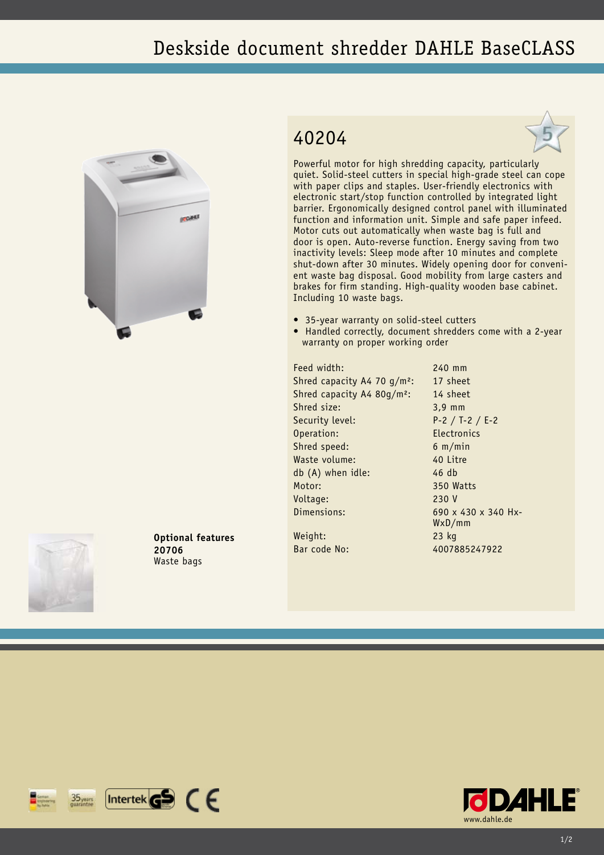## Deskside document shredder DAHLE BaseCLASS



## 40204



Powerful motor for high shredding capacity, particularly quiet. Solid-steel cutters in special high-grade steel can cope with paper clips and staples. User-friendly electronics with electronic start/stop function controlled by integrated light barrier. Ergonomically designed control panel with illuminated function and information unit. Simple and safe paper infeed. Motor cuts out automatically when waste bag is full and door is open. Auto-reverse function. Energy saving from two inactivity levels: Sleep mode after 10 minutes and complete shut-down after 30 minutes. Widely opening door for convenient waste bag disposal. Good mobility from large casters and brakes for firm standing. High-quality wooden base cabinet. Including 10 waste bags.

- 35-year warranty on solid-steel cutters
- Handled correctly, document shredders come with a 2-year warranty on proper working order

Feed width: 240 mm Shred capacity A4 70  $q/m^2$ : 17 sheet Shred capacity A4 80g/m²: 14 sheet Shred size: 3,9 mm Security level: P-2 / T-2 / E-2 Operation: Electronics Shred speed: 6 m/min Waste volume: 40 Litre db (A) when idle: 46 db Motor: 350 Watts Voltage: 230 V Dimensions: 690 x 430 x 340 Hx-

WxD/mm Weight: 23 kg Bar code No: 4007885247922

**Optional features 20706** Waste bags